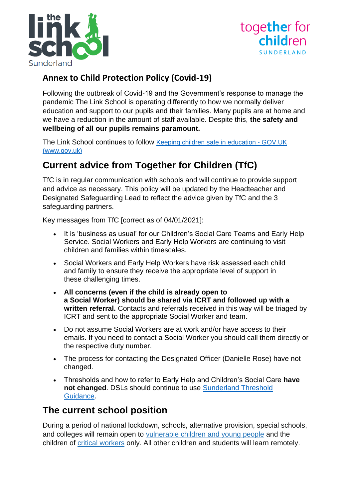



## **Annex to Child Protection Policy (Covid-19)**

Following the outbreak of Covid-19 and the Government's response to manage the pandemic The Link School is operating differently to how we normally deliver education and support to our pupils and their families. Many pupils are at home and we have a reduction in the amount of staff available. Despite this, **the safety and wellbeing of all our pupils remains paramount.**

The Link School continues to follow [Keeping children safe in education -](https://www.gov.uk/government/publications/keeping-children-safe-in-education--2) GOV.UK [\(www.gov.uk\)](https://www.gov.uk/government/publications/keeping-children-safe-in-education--2)

# **Current advice from Together for Children (TfC)**

TfC is in regular communication with schools and will continue to provide support and advice as necessary. This policy will be updated by the Headteacher and Designated Safeguarding Lead to reflect the advice given by TfC and the 3 safeguarding partners.

Key messages from TfC [correct as of 04/01/2021]:

- It is 'business as usual' for our Children's Social Care Teams and Early Help Service. Social Workers and Early Help Workers are continuing to visit children and families within timescales.
- Social Workers and Early Help Workers have risk assessed each child and family to ensure they receive the appropriate level of support in these challenging times.
- **All concerns (even if the child is already open to a Social Worker) should be shared via ICRT and followed up with a written referral.** Contacts and referrals received in this way will be triaged by ICRT and sent to the appropriate Social Worker and team.
- Do not assume Social Workers are at work and/or have access to their emails. If you need to contact a Social Worker you should call them directly or the respective duty number.
- The process for contacting the Designated Officer (Danielle Rose) have not changed.
- Thresholds and how to refer to Early Help and Children's Social Care **have not changed**. DSLs should continue to use [Sunderland Threshold](https://www.togetherforchildren.org.uk/sites/default/files/2018-11/SSCB%20Multi%20Agency%20Guide%20to%20Our%20Thresholds%20of%20Need%20V4%2019.11.18%20final_0.pdf)  [Guidance.](https://www.togetherforchildren.org.uk/sites/default/files/2018-11/SSCB%20Multi%20Agency%20Guide%20to%20Our%20Thresholds%20of%20Need%20V4%2019.11.18%20final_0.pdf)

## **The current school position**

During a period of national lockdown, schools, alternative provision, special schools, and colleges will remain open to [vulnerable](https://www.gov.uk/government/publications/coronavirus-covid-19-maintaining-educational-provision/guidance-for-schools-colleges-and-local-authorities-on-maintaining-educational-provision?utm_source=5%20January%202021%20C19&utm_medium=Daily%20Email%20C19&utm_campaign=DfE%20C19#vulnerable-children-and-young-people) children and young people and the children of critical [workers](https://www.gov.uk/government/publications/coronavirus-covid-19-maintaining-educational-provision/guidance-for-schools-colleges-and-local-authorities-on-maintaining-educational-provision?utm_source=5%20January%202021%20C19&utm_medium=Daily%20Email%20C19&utm_campaign=DfE%20C19#critical-workers) only. All other children and students will learn remotely.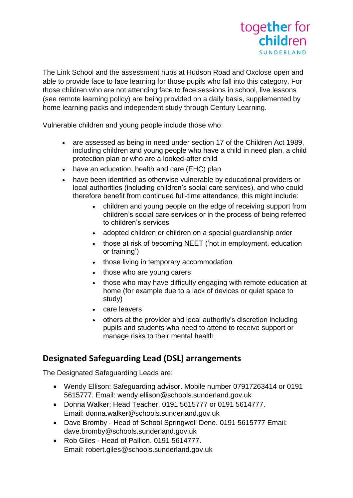

The Link School and the assessment hubs at Hudson Road and Oxclose open and able to provide face to face learning for those pupils who fall into this category. For those children who are not attending face to face sessions in school, live lessons (see remote learning policy) are being provided on a daily basis, supplemented by home learning packs and independent study through Century Learning.

Vulnerable children and young people include those who:

- are assessed as being in need under section 17 of the Children Act 1989, including children and young people who have a child in need plan, a child protection plan or who are a looked-after child
- have an education, health and care (EHC) plan
- have been identified as otherwise vulnerable by educational providers or local authorities (including children's social care services), and who could therefore benefit from continued full-time attendance, this might include:
	- children and young people on the edge of receiving support from children's social care services or in the process of being referred to children's services
	- adopted children or children on a special guardianship order
	- those at risk of becoming NEET ('not in employment, education or training')
	- those living in temporary accommodation
	- those who are young carers
	- those who may have difficulty engaging with remote education at home (for example due to a lack of devices or quiet space to study)
	- care leavers
	- others at the provider and local authority's discretion including pupils and students who need to attend to receive support or manage risks to their mental health

## **Designated Safeguarding Lead (DSL) arrangements**

The Designated Safeguarding Leads are:

- Wendy Ellison: Safeguarding advisor. Mobile number 07917263414 or 0191 5615777. Email: wendy.ellison@schools.sunderland.gov.uk
- Donna Walker: Head Teacher. 0191 5615777 or 0191 5614777. Email: donna.walker@schools.sunderland.gov.uk
- Dave Bromby Head of School Springwell Dene. 0191 5615777 Email: dave.bromby@schools.sunderland.gov.uk
- Rob Giles Head of Pallion. 0191 5614777. Email: robert.giles@schools.sunderland.gov.uk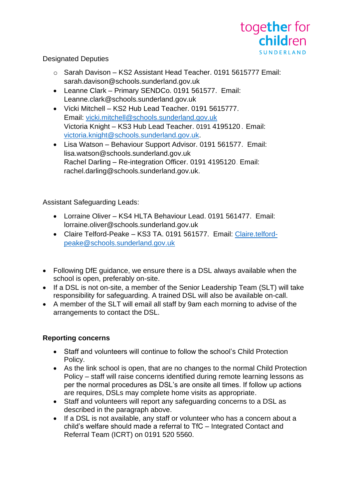

## Designated Deputies

- o Sarah Davison KS2 Assistant Head Teacher. 0191 5615777 Email: sarah.davison@schools.sunderland.gov.uk
- Leanne Clark Primary SENDCo. 0191 561577. Email: Leanne.clark@schools.sunderland.gov.uk
- Vicki Mitchell KS2 Hub Lead Teacher. 0191 5615777. Email: [vicki.mitchell@schools.sunderland.gov.uk](mailto:vicki.mitchell@schools.sunderland.gov.uk) Victoria Knight – KS3 Hub Lead Teacher. 0191 4195120 . Email: [victoria.knight@schools.sunderland.gov.uk.](mailto:victoria.knight@schools.sunderland.gov.uk)
- Lisa Watson Behaviour Support Advisor. 0191 561577. Email: lisa.watson@schools.sunderland.gov.uk Rachel Darling – Re-integration Officer. 0191 4195120 . Email: rachel.darling@schools.sunderland.gov.uk.

Assistant Safeguarding Leads:

- Lorraine Oliver KS4 HLTA Behaviour Lead. 0191 561477. Email: lorraine.oliver@schools.sunderland.gov.uk
- Claire Telford-Peake KS3 TA. 0191 561577. Email: [Claire.telford](mailto:Claire.telford-peake@schools.sunderland.gov.uk)[peake@schools.sunderland.gov.uk](mailto:Claire.telford-peake@schools.sunderland.gov.uk)
- Following DfE guidance, we ensure there is a DSL always available when the school is open, preferably on-site.
- If a DSL is not on-site, a member of the Senior Leadership Team (SLT) will take responsibility for safeguarding. A trained DSL will also be available on-call.
- A member of the SLT will email all staff by 9am each morning to advise of the arrangements to contact the DSL.

## **Reporting concerns**

- Staff and volunteers will continue to follow the school's Child Protection Policy.
- As the link school is open, that are no changes to the normal Child Protection Policy – staff will raise concerns identified during remote learning lessons as per the normal procedures as DSL's are onsite all times. If follow up actions are requires, DSLs may complete home visits as appropriate.
- Staff and volunteers will report any safeguarding concerns to a DSL as described in the paragraph above.
- If a DSL is not available, any staff or volunteer who has a concern about a child's welfare should made a referral to TfC – Integrated Contact and Referral Team (ICRT) on 0191 520 5560.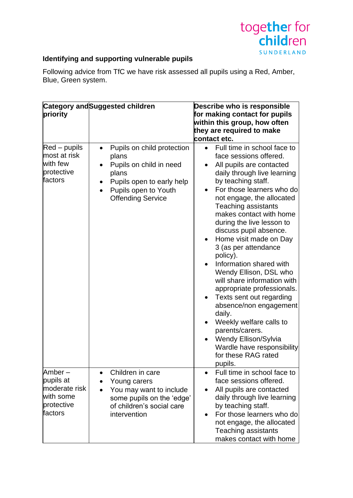

## **Identifying and supporting vulnerable pupils**

Following advice from TfC we have risk assessed all pupils using a Red, Amber, Blue, Green system.

| priority                                                                   | Category and Suggested children                                                                                                                                                                 | Describe who is responsible<br>for making contact for pupils<br>within this group, how often<br>they are required to make<br>contact etc.                                                                                                                                                                                                                                                                                                                                                                                                                                                                                                                                                                                        |
|----------------------------------------------------------------------------|-------------------------------------------------------------------------------------------------------------------------------------------------------------------------------------------------|----------------------------------------------------------------------------------------------------------------------------------------------------------------------------------------------------------------------------------------------------------------------------------------------------------------------------------------------------------------------------------------------------------------------------------------------------------------------------------------------------------------------------------------------------------------------------------------------------------------------------------------------------------------------------------------------------------------------------------|
| $Red -$ pupils<br>most at risk<br>with few<br>protective<br>factors        | Pupils on child protection<br>$\bullet$<br>plans<br>Pupils on child in need<br>plans<br>Pupils open to early help<br>$\bullet$<br>Pupils open to Youth<br>$\bullet$<br><b>Offending Service</b> | Full time in school face to<br>$\bullet$<br>face sessions offered.<br>All pupils are contacted<br>daily through live learning<br>by teaching staff.<br>For those learners who do<br>not engage, the allocated<br><b>Teaching assistants</b><br>makes contact with home<br>during the live lesson to<br>discuss pupil absence.<br>Home visit made on Day<br>$\bullet$<br>3 (as per attendance<br>policy).<br>Information shared with<br>Wendy Ellison, DSL who<br>will share information with<br>appropriate professionals.<br>Texts sent out regarding<br>absence/non engagement<br>daily.<br>Weekly welfare calls to<br>parents/carers.<br>Wendy Ellison/Sylvia<br>Wardle have responsibility<br>for these RAG rated<br>pupils. |
| Amber-<br>pupils at<br>moderate risk<br>with some<br>protective<br>factors | Children in care<br>$\bullet$<br>Young carers<br>You may want to include<br>$\bullet$<br>some pupils on the 'edge'<br>of children's social care<br>intervention                                 | Full time in school face to<br>$\bullet$<br>face sessions offered.<br>All pupils are contacted<br>daily through live learning<br>by teaching staff.<br>For those learners who do<br>$\bullet$<br>not engage, the allocated<br><b>Teaching assistants</b><br>makes contact with home                                                                                                                                                                                                                                                                                                                                                                                                                                              |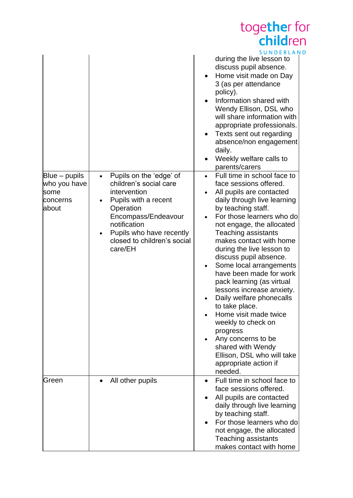|                                                              |                                                                                                                                                                                                                                  | together for<br>children                                                                                                                                                                                                                                                                                                                                                                                                                                                                                                                                                                                                                                            |
|--------------------------------------------------------------|----------------------------------------------------------------------------------------------------------------------------------------------------------------------------------------------------------------------------------|---------------------------------------------------------------------------------------------------------------------------------------------------------------------------------------------------------------------------------------------------------------------------------------------------------------------------------------------------------------------------------------------------------------------------------------------------------------------------------------------------------------------------------------------------------------------------------------------------------------------------------------------------------------------|
|                                                              |                                                                                                                                                                                                                                  | <b>SUNDERLAND</b><br>during the live lesson to<br>discuss pupil absence.<br>Home visit made on Day<br>3 (as per attendance<br>policy).<br>Information shared with<br>Wendy Ellison, DSL who<br>will share information with<br>appropriate professionals.<br>Texts sent out regarding<br>$\bullet$<br>absence/non engagement<br>daily.<br>Weekly welfare calls to<br>parents/carers                                                                                                                                                                                                                                                                                  |
| $Blue - pupils$<br>who you have<br>some<br>concerns<br>about | Pupils on the 'edge' of<br>$\bullet$<br>children's social care<br>intervention<br>Pupils with a recent<br>Operation<br>Encompass/Endeavour<br>notification<br>Pupils who have recently<br>closed to children's social<br>care/EH | Full time in school face to<br>face sessions offered.<br>All pupils are contacted<br>daily through live learning<br>by teaching staff.<br>For those learners who do<br>not engage, the allocated<br><b>Teaching assistants</b><br>makes contact with home<br>during the live lesson to<br>discuss pupil absence.<br>Some local arrangements<br>have been made for work<br>pack learning (as virtual<br>lessons increase anxiety.<br>Daily welfare phonecalls<br>to take place.<br>Home visit made twice<br>weekly to check on<br>progress<br>Any concerns to be<br>$\bullet$<br>shared with Wendy<br>Ellison, DSL who will take<br>appropriate action if<br>needed. |
| Green                                                        | All other pupils                                                                                                                                                                                                                 | Full time in school face to<br>face sessions offered.<br>All pupils are contacted<br>daily through live learning<br>by teaching staff.<br>For those learners who do<br>not engage, the allocated<br>Teaching assistants<br>makes contact with home                                                                                                                                                                                                                                                                                                                                                                                                                  |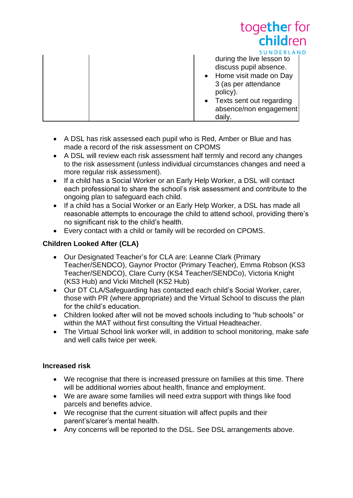| <b>CHILL</b>                                                                                                                                                                          |
|---------------------------------------------------------------------------------------------------------------------------------------------------------------------------------------|
| SUNDERLAND                                                                                                                                                                            |
| during the live lesson to<br>discuss pupil absence.<br>• Home visit made on Day<br>3 (as per attendance<br>policy).<br>• Texts sent out regarding<br>absence/non engagement<br>daily. |

together for

- A DSL has risk assessed each pupil who is Red, Amber or Blue and has made a record of the risk assessment on CPOMS
- A DSL will review each risk assessment half termly and record any changes to the risk assessment (unless individual circumstances changes and need a more regular risk assessment).
- If a child has a Social Worker or an Early Help Worker, a DSL will contact each professional to share the school's risk assessment and contribute to the ongoing plan to safeguard each child.
- If a child has a Social Worker or an Early Help Worker, a DSL has made all reasonable attempts to encourage the child to attend school, providing there's no significant risk to the child's health.
- Every contact with a child or family will be recorded on CPOMS.

## **Children Looked After (CLA)**

- Our Designated Teacher's for CLA are: Leanne Clark (Primary Teacher/SENDCO), Gaynor Proctor (Primary Teacher), Emma Robson (KS3 Teacher/SENDCO), Clare Curry (KS4 Teacher/SENDCo), Victoria Knight (KS3 Hub) and Vicki Mitchell (KS2 Hub)
- Our DT CLA/Safeguarding has contacted each child's Social Worker, carer, those with PR (where appropriate) and the Virtual School to discuss the plan for the child's education.
- Children looked after will not be moved schools including to "hub schools" or within the MAT without first consulting the Virtual Headteacher.
- The Virtual School link worker will, in addition to school monitoring, make safe and well calls twice per week.

## **Increased risk**

- We recognise that there is increased pressure on families at this time. There will be additional worries about health, finance and employment.
- We are aware some families will need extra support with things like food parcels and benefits advice.
- We recognise that the current situation will affect pupils and their parent's/carer's mental health.
- Any concerns will be reported to the DSL. See DSL arrangements above.